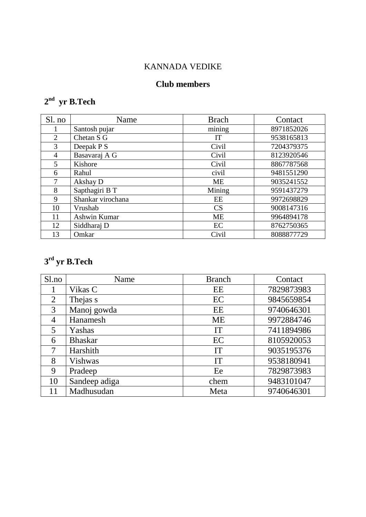# KANNADA VEDIKE

## **Club members**

#### **nd yr B.Tech**

| Sl. no         | Name              | <b>Brach</b> | Contact    |
|----------------|-------------------|--------------|------------|
|                | Santosh pujar     | mining       | 8971852026 |
| $\overline{2}$ | Chetan S G        | IT           | 9538165813 |
| 3              | Deepak P S        | Civil        | 7204379375 |
| 4              | Basavaraj A G     | Civil        | 8123920546 |
| 5              | Kishore           | Civil        | 8867787568 |
| 6              | Rahul             | civil        | 9481551290 |
| 7              | Akshay D          | ME           | 9035241552 |
| 8              | Sapthagiri B T    | Mining       | 9591437279 |
| 9              | Shankar virochana | EE           | 9972698829 |
| 10             | Vrushab           | CS           | 9008147316 |
| 11             | Ashwin Kumar      | <b>ME</b>    | 9964894178 |
| 12             | Siddharaj D       | EC           | 8762750365 |
| 13             | Omkar             | Civil        | 8088877729 |

#### **rd yr B.Tech**

| Sl.no          | Name           | <b>Branch</b> | Contact    |
|----------------|----------------|---------------|------------|
|                | Vikas C        | EE            | 7829873983 |
| $\overline{2}$ | Thejas s       | EC            | 9845659854 |
| 3              | Manoj gowda    | EE            | 9740646301 |
| 4              | Hanamesh       | <b>ME</b>     | 9972884746 |
| 5              | Yashas         | IT            | 7411894986 |
| 6              | <b>Bhaskar</b> | EC            | 8105920053 |
| 7              | Harshith       | IT            | 9035195376 |
| 8              | Vishwas        | IT            | 9538180941 |
| 9              | Pradeep        | Ee            | 7829873983 |
| 10             | Sandeep adiga  | chem          | 9483101047 |
|                | Madhusudan     | Meta          | 9740646301 |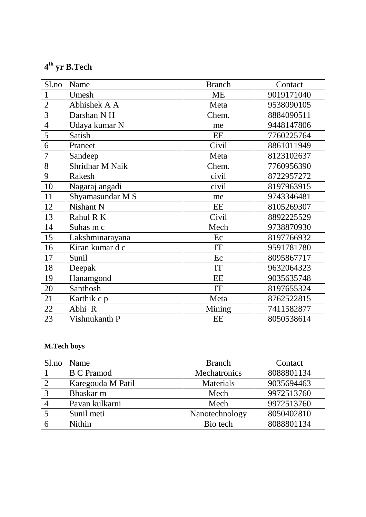### **th yr B.Tech**

| Sl.no          | Name             | <b>Branch</b> | Contact    |
|----------------|------------------|---------------|------------|
| $\mathbf{1}$   | Umesh            | <b>ME</b>     | 9019171040 |
| $\overline{2}$ | Abhishek A A     | Meta          | 9538090105 |
| 3              | Darshan NH       | Chem.         | 8884090511 |
| $\overline{4}$ | Udaya kumar N    | me            | 9448147806 |
| 5              | Satish           | EE            | 7760225764 |
| 6              | Praneet          | Civil         | 8861011949 |
| 7              | Sandeep          | Meta          | 8123102637 |
| 8              | Shridhar M Naik  | Chem.         | 7760956390 |
| 9              | Rakesh           | civil         | 8722957272 |
| 10             | Nagaraj angadi   | civil         | 8197963915 |
| 11             | Shyamasundar M S | me            | 9743346481 |
| 12             | Nishant N        | EE            | 8105269307 |
| 13             | Rahul R K        | Civil         | 8892225529 |
| 14             | Suhas m c        | Mech          | 9738870930 |
| 15             | Lakshminarayana  | Ec            | 8197766932 |
| 16             | Kiran kumar d c  | IT            | 9591781780 |
| 17             | Sunil            | Ec            | 8095867717 |
| 18             | Deepak           | IT            | 9632064323 |
| 19             | Hanamgond        | EE            | 9035635748 |
| 20             | Santhosh         | IT            | 8197655324 |
| 21             | Karthik c p      | Meta          | 8762522815 |
| 22             | Abhi R           | Mining        | 7411582877 |
| 23             | Vishnukanth P    | EE            | 8050538614 |

#### **M.Tech boys**

| S1.no          | Name              | <b>Branch</b>  | Contact    |
|----------------|-------------------|----------------|------------|
|                | <b>B C Pramod</b> | Mechatronics   | 8088801134 |
| 2              | Karegouda M Patil | Materials      | 9035694463 |
| $\overline{3}$ | Bhaskar m         | Mech           | 9972513760 |
|                | Pavan kulkarni    | Mech           | 9972513760 |
|                | Sunil meti        | Nanotechnology | 8050402810 |
|                | Nithin            | Bio tech       | 8088801134 |